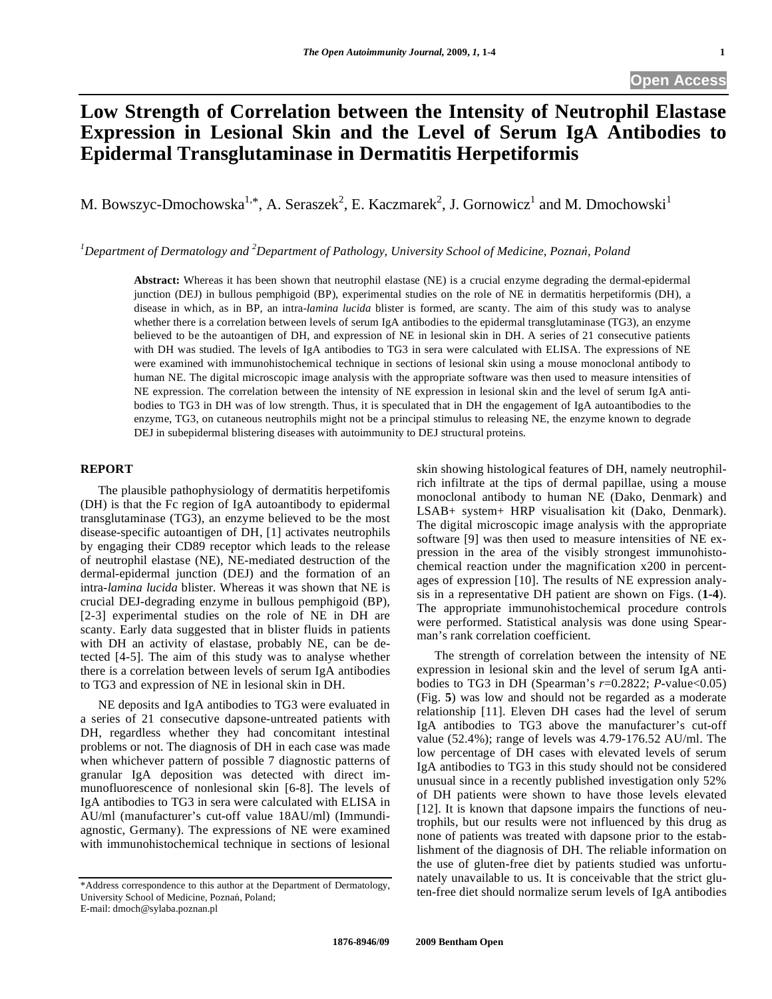## **Low Strength of Correlation between the Intensity of Neutrophil Elastase Expression in Lesional Skin and the Level of Serum IgA Antibodies to Epidermal Transglutaminase in Dermatitis Herpetiformis**

M. Bowszyc-Dmochowska<sup>1,\*</sup>, A. Seraszek<sup>2</sup>, E. Kaczmarek<sup>2</sup>, J. Gornowicz<sup>1</sup> and M. Dmochowski<sup>1</sup>

<sup>1</sup>Department of Dermatology and <sup>2</sup>Department of Pathology, University School of Medicine, Poznań, Poland

**Abstract:** Whereas it has been shown that neutrophil elastase (NE) is a crucial enzyme degrading the dermal-epidermal junction (DEJ) in bullous pemphigoid (BP), experimental studies on the role of NE in dermatitis herpetiformis (DH), a disease in which, as in BP, an intra-*lamina lucida* blister is formed, are scanty. The aim of this study was to analyse whether there is a correlation between levels of serum IgA antibodies to the epidermal transglutaminase (TG3), an enzyme believed to be the autoantigen of DH, and expression of NE in lesional skin in DH. A series of 21 consecutive patients with DH was studied. The levels of IgA antibodies to TG3 in sera were calculated with ELISA. The expressions of NE were examined with immunohistochemical technique in sections of lesional skin using a mouse monoclonal antibody to human NE. The digital microscopic image analysis with the appropriate software was then used to measure intensities of NE expression. The correlation between the intensity of NE expression in lesional skin and the level of serum IgA antibodies to TG3 in DH was of low strength. Thus, it is speculated that in DH the engagement of IgA autoantibodies to the enzyme, TG3, on cutaneous neutrophils might not be a principal stimulus to releasing NE, the enzyme known to degrade DEJ in subepidermal blistering diseases with autoimmunity to DEJ structural proteins.

## **REPORT**

 The plausible pathophysiology of dermatitis herpetifomis (DH) is that the Fc region of IgA autoantibody to epidermal transglutaminase (TG3), an enzyme believed to be the most disease-specific autoantigen of DH, [1] activates neutrophils by engaging their CD89 receptor which leads to the release of neutrophil elastase (NE), NE-mediated destruction of the dermal-epidermal junction (DEJ) and the formation of an intra-*lamina lucida* blister. Whereas it was shown that NE is crucial DEJ-degrading enzyme in bullous pemphigoid (BP), [2-3] experimental studies on the role of NE in DH are scanty. Early data suggested that in blister fluids in patients with DH an activity of elastase, probably NE, can be detected [4-5]. The aim of this study was to analyse whether there is a correlation between levels of serum IgA antibodies to TG3 and expression of NE in lesional skin in DH.

 NE deposits and IgA antibodies to TG3 were evaluated in a series of 21 consecutive dapsone-untreated patients with DH, regardless whether they had concomitant intestinal problems or not. The diagnosis of DH in each case was made when whichever pattern of possible 7 diagnostic patterns of granular IgA deposition was detected with direct immunofluorescence of nonlesional skin [6-8]. The levels of IgA antibodies to TG3 in sera were calculated with ELISA in AU/ml (manufacturer's cut-off value 18AU/ml) (Immundiagnostic, Germany). The expressions of NE were examined with immunohistochemical technique in sections of lesional

E-mail: dmoch@sylaba.poznan.pl

skin showing histological features of DH, namely neutrophilrich infiltrate at the tips of dermal papillae, using a mouse monoclonal antibody to human NE (Dako, Denmark) and LSAB+ system+ HRP visualisation kit (Dako, Denmark). The digital microscopic image analysis with the appropriate software [9] was then used to measure intensities of NE expression in the area of the visibly strongest immunohistochemical reaction under the magnification x200 in percentages of expression [10]. The results of NE expression analysis in a representative DH patient are shown on Figs. (**1-4**). The appropriate immunohistochemical procedure controls were performed. Statistical analysis was done using Spearman's rank correlation coefficient.

 The strength of correlation between the intensity of NE expression in lesional skin and the level of serum IgA antibodies to TG3 in DH (Spearman's *r*=0.2822; *P*-value<0.05) (Fig. **5**) was low and should not be regarded as a moderate relationship [11]. Eleven DH cases had the level of serum IgA antibodies to TG3 above the manufacturer's cut-off value (52.4%); range of levels was 4.79-176.52 AU/ml. The low percentage of DH cases with elevated levels of serum IgA antibodies to TG3 in this study should not be considered unusual since in a recently published investigation only 52% of DH patients were shown to have those levels elevated [12]. It is known that dapsone impairs the functions of neutrophils, but our results were not influenced by this drug as none of patients was treated with dapsone prior to the establishment of the diagnosis of DH. The reliable information on the use of gluten-free diet by patients studied was unfortunately unavailable to us. It is conceivable that the strict gluten-free diet should normalize serum levels of IgA antibodies

<sup>\*</sup>Address correspondence to this author at the Department of Dermatology, University School of Medicine, Poznań, Poland;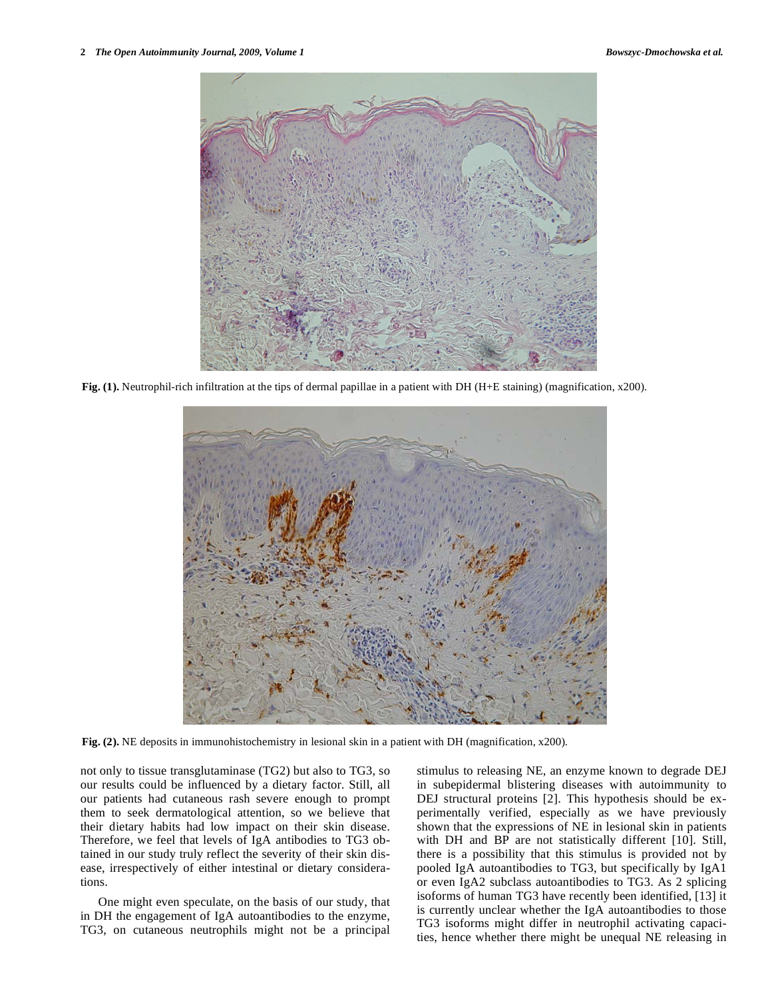

**Fig. (1).** Neutrophil-rich infiltration at the tips of dermal papillae in a patient with DH (H+E staining) (magnification, x200).



**Fig. (2).** NE deposits in immunohistochemistry in lesional skin in a patient with DH (magnification, x200).

not only to tissue transglutaminase (TG2) but also to TG3, so our results could be influenced by a dietary factor. Still, all our patients had cutaneous rash severe enough to prompt them to seek dermatological attention, so we believe that their dietary habits had low impact on their skin disease. Therefore, we feel that levels of IgA antibodies to TG3 obtained in our study truly reflect the severity of their skin disease, irrespectively of either intestinal or dietary considerations.

 One might even speculate, on the basis of our study, that in DH the engagement of IgA autoantibodies to the enzyme, TG3, on cutaneous neutrophils might not be a principal stimulus to releasing NE, an enzyme known to degrade DEJ in subepidermal blistering diseases with autoimmunity to DEJ structural proteins [2]. This hypothesis should be experimentally verified, especially as we have previously shown that the expressions of NE in lesional skin in patients with DH and BP are not statistically different [10]. Still, there is a possibility that this stimulus is provided not by pooled IgA autoantibodies to TG3, but specifically by IgA1 or even IgA2 subclass autoantibodies to TG3. As 2 splicing isoforms of human TG3 have recently been identified, [13] it is currently unclear whether the IgA autoantibodies to those TG3 isoforms might differ in neutrophil activating capacities, hence whether there might be unequal NE releasing in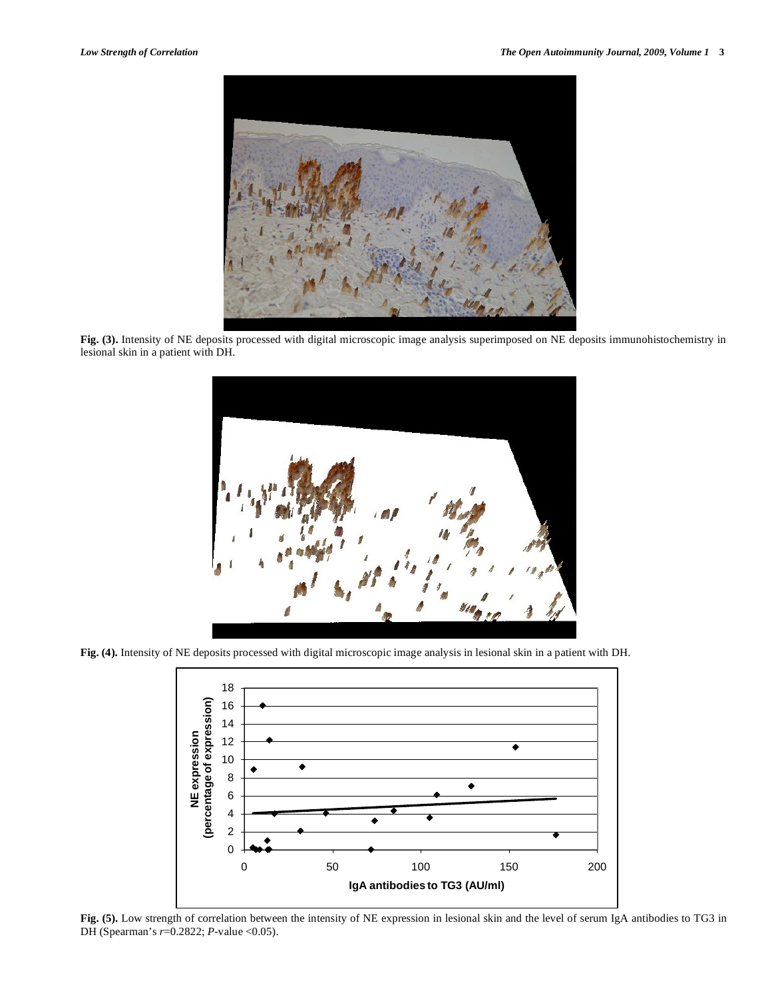

**Fig. (3).** Intensity of NE deposits processed with digital microscopic image analysis superimposed on NE deposits immunohistochemistry in lesional skin in a patient with DH.



**Fig. (4).** Intensity of NE deposits processed with digital microscopic image analysis in lesional skin in a patient with DH.



**Fig. (5).** Low strength of correlation between the intensity of NE expression in lesional skin and the level of serum IgA antibodies to TG3 in DH (Spearman's *r*=0.2822; *P*-value <0.05).